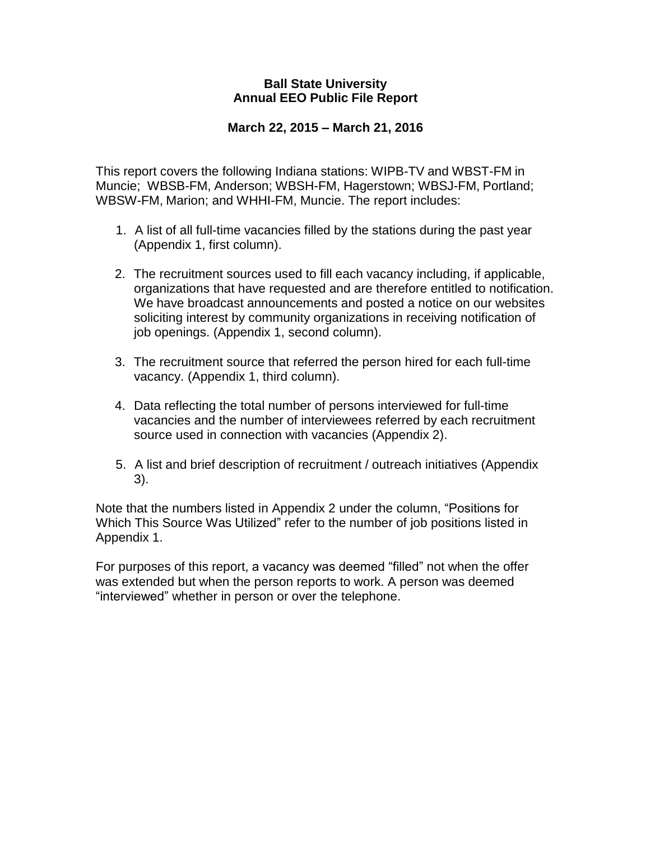# **Ball State University Annual EEO Public File Report**

# **March 22, 2015 – March 21, 2016**

This report covers the following Indiana stations: WIPB-TV and WBST-FM in Muncie; WBSB-FM, Anderson; WBSH-FM, Hagerstown; WBSJ-FM, Portland; WBSW-FM, Marion; and WHHI-FM, Muncie. The report includes:

- 1. A list of all full-time vacancies filled by the stations during the past year (Appendix 1, first column).
- 2. The recruitment sources used to fill each vacancy including, if applicable, organizations that have requested and are therefore entitled to notification. We have broadcast announcements and posted a notice on our websites soliciting interest by community organizations in receiving notification of job openings. (Appendix 1, second column).
- 3. The recruitment source that referred the person hired for each full-time vacancy. (Appendix 1, third column).
- 4. Data reflecting the total number of persons interviewed for full-time vacancies and the number of interviewees referred by each recruitment source used in connection with vacancies (Appendix 2).
- 5. A list and brief description of recruitment / outreach initiatives (Appendix 3).

Note that the numbers listed in Appendix 2 under the column, "Positions for Which This Source Was Utilized" refer to the number of job positions listed in Appendix 1.

For purposes of this report, a vacancy was deemed "filled" not when the offer was extended but when the person reports to work. A person was deemed "interviewed" whether in person or over the telephone.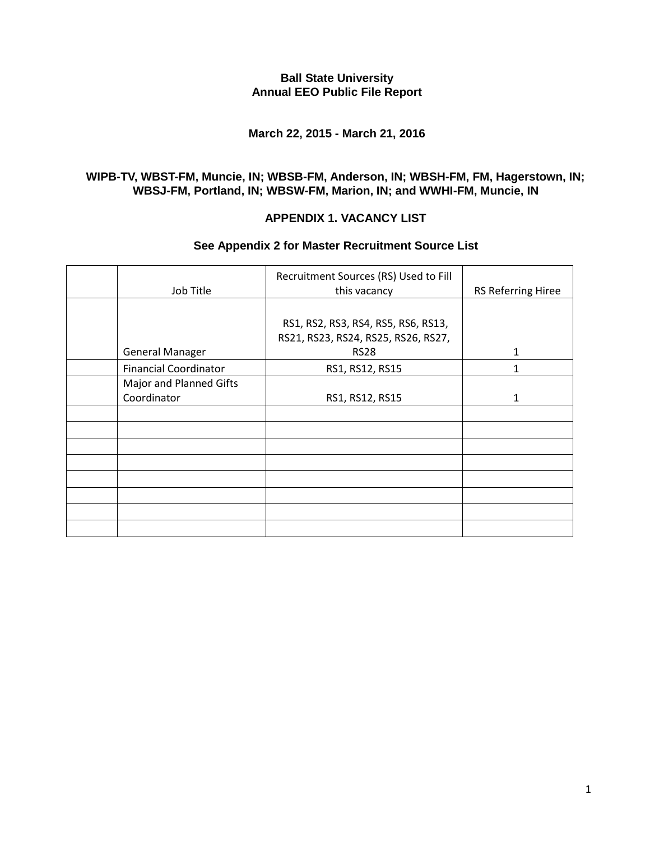# **Ball State University Annual EEO Public File Report**

### **March 22, 2015 - March 21, 2016**

## **WIPB-TV, WBST-FM, Muncie, IN; WBSB-FM, Anderson, IN; WBSH-FM, FM, Hagerstown, IN; WBSJ-FM, Portland, IN; WBSW-FM, Marion, IN; and WWHI-FM, Muncie, IN**

# **APPENDIX 1. VACANCY LIST**

## **See Appendix 2 for Master Recruitment Source List**

| Job Title                    | Recruitment Sources (RS) Used to Fill<br>this vacancy                      | RS Referring Hiree |
|------------------------------|----------------------------------------------------------------------------|--------------------|
|                              |                                                                            |                    |
|                              | RS1, RS2, RS3, RS4, RS5, RS6, RS13,<br>RS21, RS23, RS24, RS25, RS26, RS27, |                    |
| <b>General Manager</b>       | <b>RS28</b>                                                                | 1                  |
| <b>Financial Coordinator</b> | RS1, RS12, RS15                                                            | 1                  |
| Major and Planned Gifts      |                                                                            |                    |
| Coordinator                  | RS1, RS12, RS15                                                            | 1                  |
|                              |                                                                            |                    |
|                              |                                                                            |                    |
|                              |                                                                            |                    |
|                              |                                                                            |                    |
|                              |                                                                            |                    |
|                              |                                                                            |                    |
|                              |                                                                            |                    |
|                              |                                                                            |                    |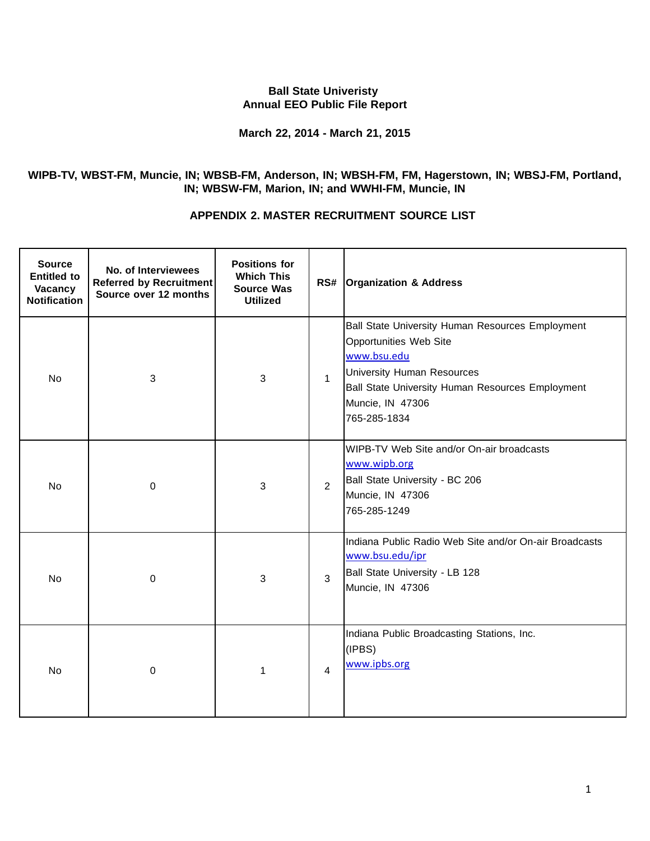#### **Ball State Univeristy Annual EEO Public File Report**

**March 22, 2014 - March 21, 2015**

### **WIPB-TV, WBST-FM, Muncie, IN; WBSB-FM, Anderson, IN; WBSH-FM, FM, Hagerstown, IN; WBSJ-FM, Portland, IN; WBSW-FM, Marion, IN; and WWHI-FM, Muncie, IN**

### **APPENDIX 2. MASTER RECRUITMENT SOURCE LIST**

| <b>Source</b><br><b>Entitled to</b><br>Vacancy<br><b>Notification</b> | No. of Interviewees<br><b>Referred by Recruitment</b><br>Source over 12 months | <b>Positions for</b><br><b>Which This</b><br><b>Source Was</b><br><b>Utilized</b> |                | <b>RS# Organization &amp; Address</b>                                                                                                                                                                                  |
|-----------------------------------------------------------------------|--------------------------------------------------------------------------------|-----------------------------------------------------------------------------------|----------------|------------------------------------------------------------------------------------------------------------------------------------------------------------------------------------------------------------------------|
| No                                                                    | 3                                                                              | 3                                                                                 | $\mathbf 1$    | Ball State University Human Resources Employment<br>Opportunities Web Site<br>www.bsu.edu<br><b>University Human Resources</b><br>Ball State University Human Resources Employment<br>Muncie, IN 47306<br>765-285-1834 |
| No                                                                    | 0                                                                              | 3                                                                                 | $\overline{2}$ | WIPB-TV Web Site and/or On-air broadcasts<br>www.wipb.org<br>Ball State University - BC 206<br>Muncie, IN 47306<br>765-285-1249                                                                                        |
| <b>No</b>                                                             | $\boldsymbol{0}$                                                               | 3                                                                                 | 3              | Indiana Public Radio Web Site and/or On-air Broadcasts<br>www.bsu.edu/ipr<br>Ball State University - LB 128<br>Muncie, IN 47306                                                                                        |
| No                                                                    | $\mathbf 0$                                                                    | $\mathbf{1}$                                                                      | 4              | Indiana Public Broadcasting Stations, Inc.<br>(IPBS)<br>www.ipbs.org                                                                                                                                                   |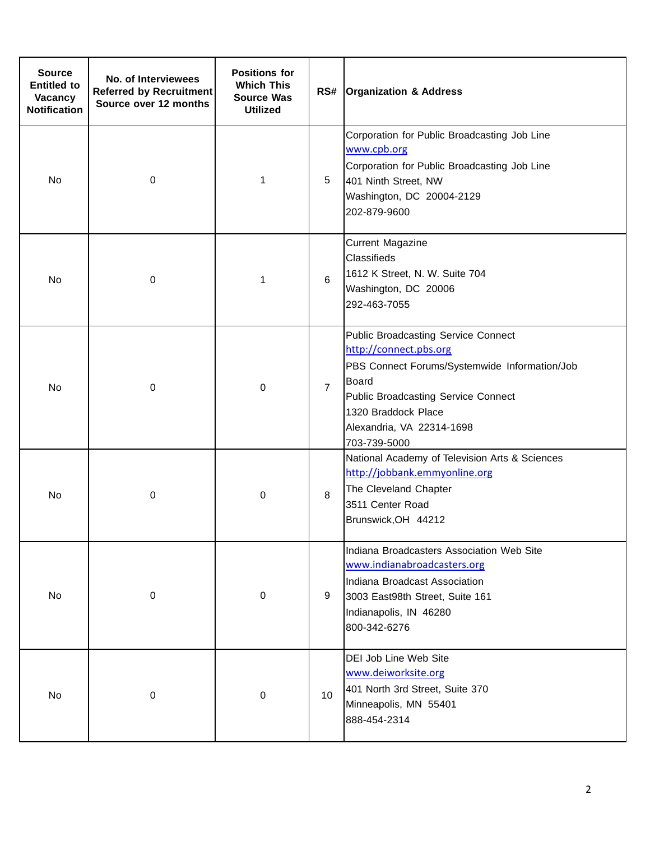| <b>Source</b><br><b>Entitled to</b><br>Vacancy<br><b>Notification</b> | No. of Interviewees<br><b>Referred by Recruitment</b><br>Source over 12 months | <b>Positions for</b><br><b>Which This</b><br><b>Source Was</b><br><b>Utilized</b> |                | <b>RS# Organization &amp; Address</b>                                                                                                                                                                                                            |
|-----------------------------------------------------------------------|--------------------------------------------------------------------------------|-----------------------------------------------------------------------------------|----------------|--------------------------------------------------------------------------------------------------------------------------------------------------------------------------------------------------------------------------------------------------|
| No                                                                    | 0                                                                              | 1                                                                                 | 5              | Corporation for Public Broadcasting Job Line<br>www.cpb.org<br>Corporation for Public Broadcasting Job Line<br>401 Ninth Street, NW<br>Washington, DC 20004-2129<br>202-879-9600                                                                 |
| No                                                                    | $\mathbf 0$                                                                    | 1                                                                                 | 6              | <b>Current Magazine</b><br>Classifieds<br>1612 K Street, N. W. Suite 704<br>Washington, DC 20006<br>292-463-7055                                                                                                                                 |
| No                                                                    | 0                                                                              | 0                                                                                 | $\overline{7}$ | <b>Public Broadcasting Service Connect</b><br>http://connect.pbs.org<br>PBS Connect Forums/Systemwide Information/Job<br>Board<br><b>Public Broadcasting Service Connect</b><br>1320 Braddock Place<br>Alexandria, VA 22314-1698<br>703-739-5000 |
| No                                                                    | 0                                                                              | 0                                                                                 | 8              | National Academy of Television Arts & Sciences<br>http://jobbank.emmyonline.org<br>The Cleveland Chapter<br>3511 Center Road<br>Brunswick, OH 44212                                                                                              |
| No                                                                    | 0                                                                              | 0                                                                                 | 9              | Indiana Broadcasters Association Web Site<br>www.indianabroadcasters.org<br>Indiana Broadcast Association<br>3003 East98th Street, Suite 161<br>Indianapolis, IN 46280<br>800-342-6276                                                           |
| No                                                                    | 0                                                                              | 0                                                                                 | 10             | DEI Job Line Web Site<br>www.deiworksite.org<br>401 North 3rd Street, Suite 370<br>Minneapolis, MN 55401<br>888-454-2314                                                                                                                         |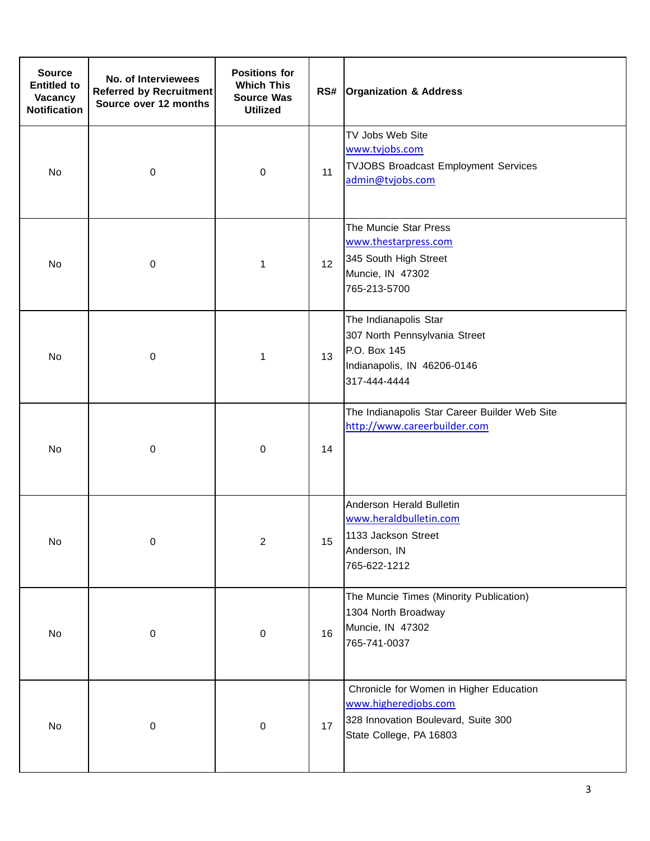| <b>Source</b><br><b>Entitled to</b><br>Vacancy<br><b>Notification</b> | No. of Interviewees<br><b>Referred by Recruitment</b><br>Source over 12 months | <b>Positions for</b><br><b>Which This</b><br><b>Source Was</b><br><b>Utilized</b> |    | <b>RS# Organization &amp; Address</b>                                                                                             |
|-----------------------------------------------------------------------|--------------------------------------------------------------------------------|-----------------------------------------------------------------------------------|----|-----------------------------------------------------------------------------------------------------------------------------------|
| No                                                                    | 0                                                                              | 0                                                                                 | 11 | TV Jobs Web Site<br>www.tvjobs.com<br><b>TVJOBS Broadcast Employment Services</b><br>admin@tvjobs.com                             |
| No                                                                    | $\boldsymbol{0}$                                                               | 1                                                                                 | 12 | The Muncie Star Press<br>www.thestarpress.com<br>345 South High Street<br>Muncie, IN 47302<br>765-213-5700                        |
| No                                                                    | 0                                                                              | 1                                                                                 | 13 | The Indianapolis Star<br>307 North Pennsylvania Street<br>P.O. Box 145<br>Indianapolis, IN 46206-0146<br>317-444-4444             |
| No                                                                    | 0                                                                              | 0                                                                                 | 14 | The Indianapolis Star Career Builder Web Site<br>http://www.careerbuilder.com                                                     |
| No                                                                    | 0                                                                              | $\overline{c}$                                                                    | 15 | Anderson Herald Bulletin<br>www.heraldbulletin.com<br>1133 Jackson Street<br>Anderson, IN<br>765-622-1212                         |
| No                                                                    | 0                                                                              | 0                                                                                 | 16 | The Muncie Times (Minority Publication)<br>1304 North Broadway<br>Muncie, IN 47302<br>765-741-0037                                |
| No                                                                    | 0                                                                              | $\pmb{0}$                                                                         | 17 | Chronicle for Women in Higher Education<br>www.higheredjobs.com<br>328 Innovation Boulevard, Suite 300<br>State College, PA 16803 |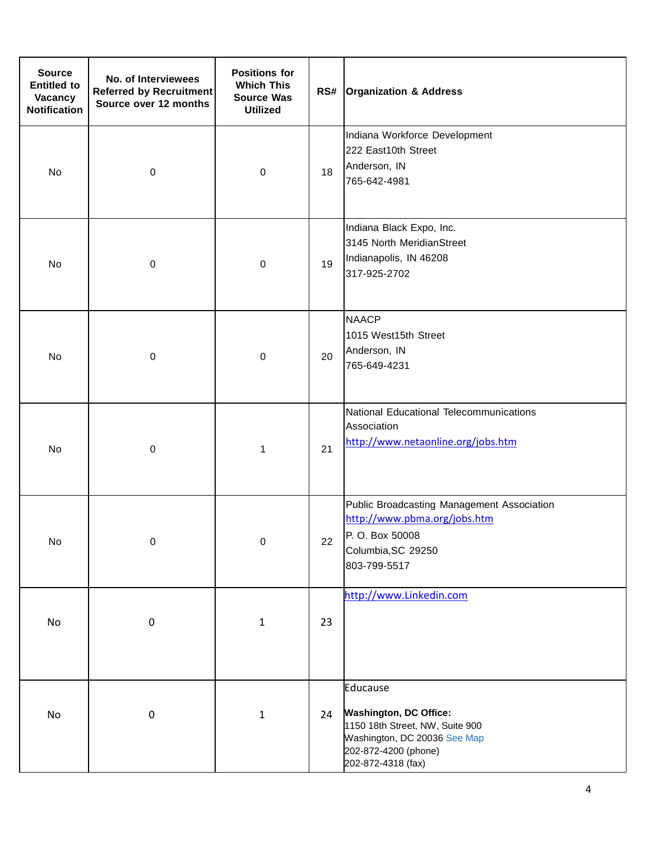| <b>Source</b><br><b>Entitled to</b><br>Vacancy<br><b>Notification</b> | No. of Interviewees<br><b>Referred by Recruitment</b><br>Source over 12 months | <b>Positions for</b><br><b>Which This</b><br><b>Source Was</b><br><b>Utilized</b> |    | <b>RS# Organization &amp; Address</b>                                                                                                                      |
|-----------------------------------------------------------------------|--------------------------------------------------------------------------------|-----------------------------------------------------------------------------------|----|------------------------------------------------------------------------------------------------------------------------------------------------------------|
| No                                                                    | $\pmb{0}$                                                                      | $\pmb{0}$                                                                         | 18 | Indiana Workforce Development<br>222 East10th Street<br>Anderson, IN<br>765-642-4981                                                                       |
| No                                                                    | $\pmb{0}$                                                                      | 0                                                                                 | 19 | Indiana Black Expo, Inc.<br>3145 North MeridianStreet<br>Indianapolis, IN 46208<br>317-925-2702                                                            |
| No                                                                    | $\pmb{0}$                                                                      | $\pmb{0}$                                                                         | 20 | <b>NAACP</b><br>1015 West15th Street<br>Anderson, IN<br>765-649-4231                                                                                       |
| No                                                                    | $\pmb{0}$                                                                      | 1                                                                                 | 21 | National Educational Telecommunications<br>Association<br>http://www.netaonline.org/jobs.htm                                                               |
| No                                                                    | $\pmb{0}$                                                                      | 0                                                                                 | 22 | Public Broadcasting Management Association<br>http://www.pbma.org/jobs.htm<br>P. O. Box 50008<br>Columbia, SC 29250<br>803-799-5517                        |
| No                                                                    | $\pmb{0}$                                                                      | $\mathbf{1}$                                                                      | 23 | http://www.Linkedin.com                                                                                                                                    |
| No                                                                    | $\pmb{0}$                                                                      | $\mathbf{1}$                                                                      | 24 | Educause<br><b>Washington, DC Office:</b><br>1150 18th Street, NW, Suite 900<br>Washington, DC 20036 See Map<br>202-872-4200 (phone)<br>202-872-4318 (fax) |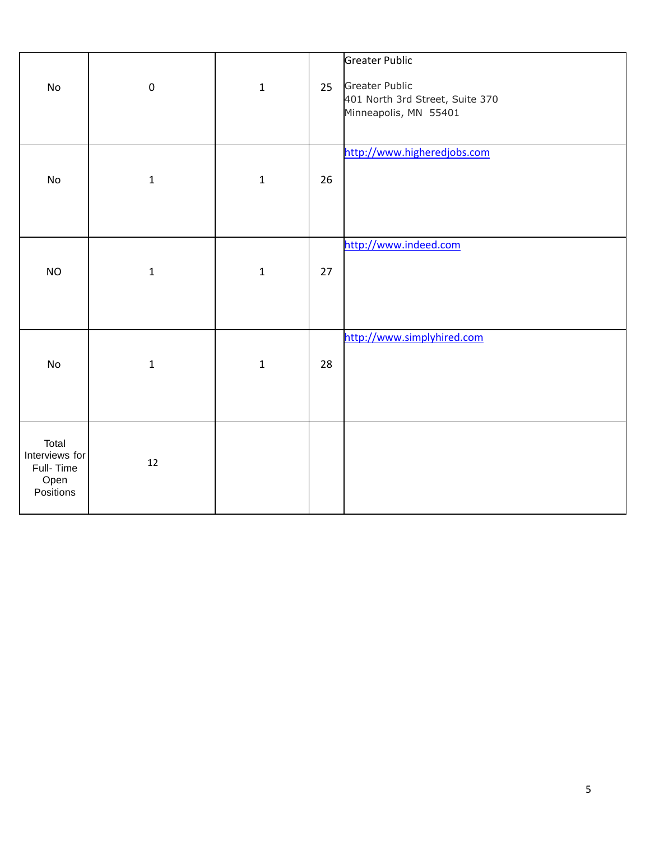| <b>No</b>                                                 | $\pmb{0}$   | $\mathbf 1$ | 25 | <b>Greater Public</b><br><b>Greater Public</b><br>401 North 3rd Street, Suite 370<br>Minneapolis, MN 55401 |
|-----------------------------------------------------------|-------------|-------------|----|------------------------------------------------------------------------------------------------------------|
| $\mathsf{No}$                                             | $\mathbf 1$ | $\mathbf 1$ | 26 | http://www.higheredjobs.com                                                                                |
| <b>NO</b>                                                 | $\mathbf 1$ | $\mathbf 1$ | 27 | http://www.indeed.com                                                                                      |
| <b>No</b>                                                 | $\mathbf 1$ | $\mathbf 1$ | 28 | http://www.simplyhired.com                                                                                 |
| Total<br>Interviews for<br>Full-Time<br>Open<br>Positions | 12          |             |    |                                                                                                            |